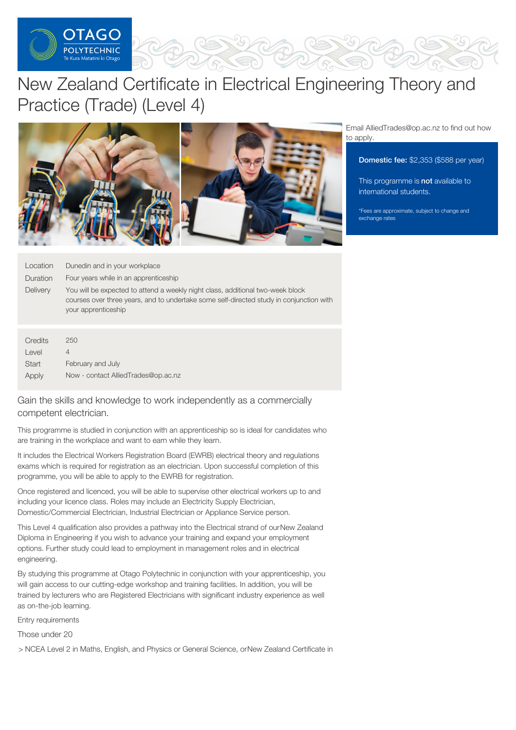

# New Zealand Certificate in Electrical Engineering Theory and Practice (Trade) (Level 4)



Email AlliedTrades@op.ac.nz to find out how to apply.

#### Domestic fee: \$2,353 (\$588 per year)

This programme is not available to international students.

\*Fees are approximate, subject to change and exchange rates

| Location        | Dunedin and in your workplace                                                                                                                                                                    |
|-----------------|--------------------------------------------------------------------------------------------------------------------------------------------------------------------------------------------------|
| <b>Duration</b> | Four years while in an apprenticeship                                                                                                                                                            |
| <b>Delivery</b> | You will be expected to attend a weekly night class, additional two-week block<br>courses over three years, and to undertake some self-directed study in conjunction with<br>your apprenticeship |

| Credits | 250                                 |
|---------|-------------------------------------|
| Level   |                                     |
| Start   | February and July                   |
| Apply   | Now - contact AlliedTrades@op.ac.nz |

## Gain the skills and knowledge to work independently as a commercially competent electrician.

This programme is studied in conjunction with an apprenticeship so is ideal for candidates who are training in the workplace and want to earn while they learn.

It includes the Electrical Workers Registration Board (EWRB) electrical theory and regulations exams which is required for registration as an electrician. Upon successful completion of this programme, you will be able to apply to the EWRB for registration.

Once registered and licenced, you will be able to supervise other electrical workers up to and including your licence class. Roles may include an Electricity Supply Electrician, Domestic/Commercial Electrician, Industrial Electrician or Appliance Service person.

This Level 4 qualification also provides a pathway into the Electrical strand of ourNew Zealand Diploma in Engineering if you wish to advance your training and expand your employment options. Further study could lead to employment in management roles and in electrical engineering.

By studying this programme at Otago Polytechnic in conjunction with your apprenticeship, you will gain access to our cutting-edge workshop and training facilities. In addition, you will be trained by lecturers who are Registered Electricians with significant industry experience as well as on-the-job learning.

Entry requirements

Those under 20

> NCEA Level 2 in Maths, English, and Physics or General Science, orNew Zealand Certificate in